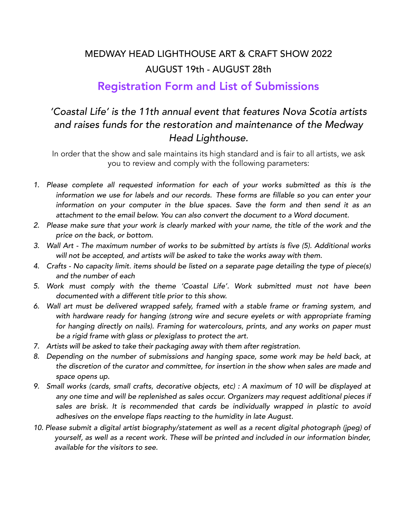### MEDWAY HEAD LIGHTHOUSE ART & CRAFT SHOW 2022 AUGUST 19th - AUGUST 28th

#### Registration Form and List of Submissions

#### *'Coastal Life' is the 11th annual event that features Nova Scotia artists and raises funds for the restoration and maintenance of the Medway Head Lighthouse.*

In order that the show and sale maintains its high standard and is fair to all artists, we ask you to review and comply with the following parameters:

- *1. Please complete all requested information for each of your works submitted as this is the information we use for labels and our records. These forms are fillable so you can enter your information on your computer in the blue spaces. Save the form and then send it as an attachment to the email below. You can also convert the document to a Word document.*
- 2. Please make sure that your work is clearly marked with your name, the title of the work and the *price on the back, or bottom.*
- *3. Wall Art The maximum number of works to be submitted by artists is five (5). Additional works will not be accepted, and artists will be asked to take the works away with them.*
- *4. Crafts No capacity limit. items should be listed on a separate page detailing the type of piece(s) and the number of each*
- *5. Work must comply with the theme 'Coastal Life'. Work submitted must not have been documented with a different title prior to this show.*
- *6. Wall art must be delivered wrapped safely, framed with a stable frame or framing system, and with hardware ready for hanging (strong wire and secure eyelets or with appropriate framing for hanging directly on nails). Framing for watercolours, prints, and any works on paper must be a rigid frame with glass or plexiglass to protect the art.*
- *7. Artists will be asked to take their packaging away with them after registration.*
- *8. Depending on the number of submissions and hanging space, some work may be held back, at the discretion of the curator and committee, for insertion in the show when sales are made and space opens up.*
- *9. Small works (cards, small crafts, decorative objects, etc) : A maximum of 10 will be displayed at any one time and will be replenished as sales occur. Organizers may request additional pieces if sales are brisk. It is recommended that cards be individually wrapped in plastic to avoid adhesives on the envelope flaps reacting to the humidity in late August.*
- *10. Please submit a digital artist biography/statement as well as a recent digital photograph (jpeg) of yourself, as well as a recent work. These will be printed and included in our information binder, available for the visitors to see.*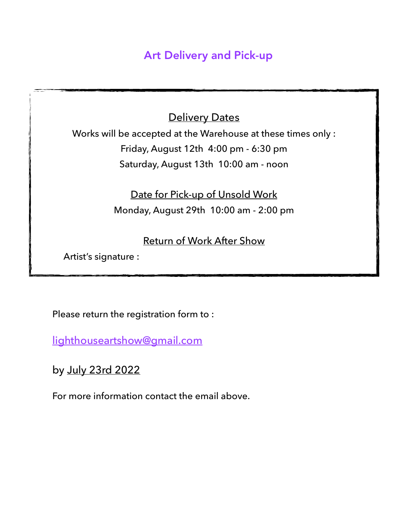## Art Delivery and Pick-up

**Delivery Dates** 

Works will be accepted at the Warehouse at these times only : Friday, August 12th 4:00 pm - 6:30 pm Saturday, August 13th 10:00 am - noon

> Date for Pick-up of Unsold Work Monday, August 29th 10:00 am - 2:00 pm

> > Return of Work After Show

Artist's signature :

Please return the registration form to :

[lighthouseartshow@gmail.com](mailto:lighthouseartshow@gmail.com)

by July 23rd 2022

For more information contact the email above.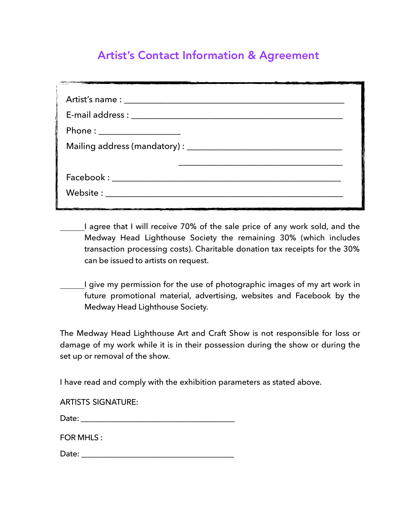## Artist's Contact Information & Agreement

| Phone : ____________________ |
|------------------------------|
|                              |
|                              |
|                              |
|                              |
|                              |

- I agree that I will receive 70% of the sale price of any work sold, and the Medway Head Lighthouse Society the remaining 30% (which includes transaction processing costs). Charitable donation tax receipts for the 30% can be issued to artists on request.
- I give my permission for the use of photographic images of my art work in future promotional material, advertising, websites and Facebook by the Medway Head Lighthouse Society.

The Medway Head Lighthouse Art and Craft Show is not responsible for loss or damage of my work while it is in their possession during the show or during the set up or removal of the show.

I have read and comply with the exhibition parameters as stated above.

| <b>ARTISTS SIGNATURE:</b> |  |  |
|---------------------------|--|--|
|---------------------------|--|--|

| Date: |  |
|-------|--|
|       |  |

FOR MHIS:

Date: